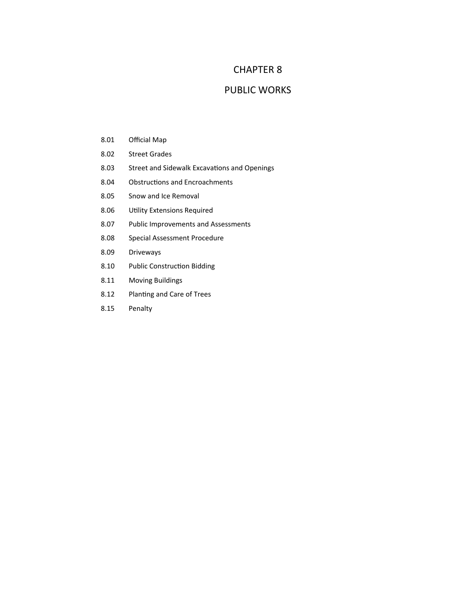## CHAPTER 8

## PUBLIC WORKS

- 8.01 Official Map
- 8.02 Street Grades
- 8.03 Street and Sidewalk Excavations and Openings
- 8.04 Obstructions and Encroachments
- 8.05 Snow and Ice Removal
- 8.06 Utility Extensions Required
- 8.07 Public Improvements and Assessments
- 8.08 Special Assessment Procedure
- 8.09 Driveways
- 8.10 Public Construction Bidding
- 8.11 Moving Buildings
- 8.12 Planting and Care of Trees
- 8.15 Penalty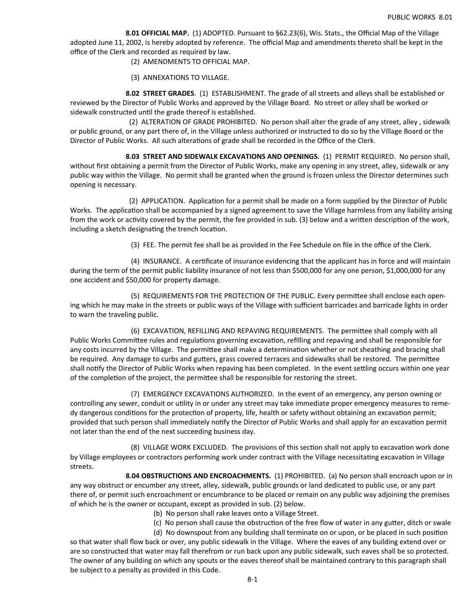**8.01 OFFICIAL MAP.**  (1) ADOPTED. Pursuant to §62.23(6), Wis. Stats., the Official Map of the Village adopted June 11, 2002, is hereby adopted by reference. The official Map and amendments thereto shall be kept in the office of the Clerk and recorded as required by law.

- (2) AMENDMENTS TO OFFICIAL MAP.
- (3) ANNEXATIONS TO VILLAGE.

 **8.02 STREET GRADES**.(1) ESTABLISHMENT. The grade of all streets and alleys shall be established or reviewed by the Director of Public Works and approved by the Village Board. No street or alley shall be worked or sidewalk constructed until the grade thereof is established.

 (2) ALTERATION OF GRADE PROHIBITED. No person shall alter the grade of any street, alley , sidewalk or public ground, or any part there of, in the Village unless authorized or instructed to do so by the Village Board or the Director of Public Works. All such alterations of grade shall be recorded in the Office of the Clerk.

 **8.03 STREET AND SIDEWALK EXCAVATIONS AND OPENINGS.** (1) PERMIT REQUIRED. No person shall, without first obtaining a permit from the Director of Public Works, make any opening in any street, alley, sidewalk or any public way within the Village. No permit shall be granted when the ground is frozen unless the Director determines such opening is necessary.

(2) APPLICATION. Application for a permit shall be made on a form supplied by the Director of Public Works. The application shall be accompanied by a signed agreement to save the Village harmless from any liability arising from the work or activity covered by the permit, the fee provided in sub. (3) below and a written description of the work, including a sketch designating the trench location.

(3) FEE. The permit fee shall be as provided in the Fee Schedule on file in the office of the Clerk.

(4) INSURANCE. A certificate of insurance evidencing that the applicant has in force and will maintain during the term of the permit public liability insurance of not less than \$500,000 for any one person, \$1,000,000 for any one accident and \$50,000 for property damage.

(5) REQUIREMENTS FOR THE PROTECTION OF THE PUBLIC. Every permittee shall enclose each opening which he may make in the streets or public ways of the Village with sufficient barricades and barricade lights in order to warn the traveling public.

(6) EXCAVATION, REFILLING AND REPAVING REQUIREMENTS. The permittee shall comply with all Public Works Committee rules and regulations governing excavation, refilling and repaving and shall be responsible for any costs incurred by the Village. The permittee shall make a determination whether or not sheathing and bracing shall be required. Any damage to curbs and gutters, grass covered terraces and sidewalks shall be restored. The permittee shall notify the Director of Public Works when repaving has been completed. In the event settling occurs within one year of the completion of the project, the permittee shall be responsible for restoring the street.

 (7) EMERGENCY EXCAVATIONS AUTHORIZED. In the event of an emergency, any person owning or controlling any sewer, conduit or utility in or under any street may take immediate proper emergency measures to remedy dangerous conditions for the protection of property, life, health or safety without obtaining an excavation permit; provided that such person shall immediately notify the Director of Public Works and shall apply for an excavation permit not later than the end of the next succeeding business day.

(8) VILLAGE WORK EXCLUDED. The provisions of this section shall not apply to excavation work done by Village employees or contractors performing work under contract with the Village necessitating excavation in Village streets.

 **8.04 OBSTRUCTIONS AND ENCROACHMENTS.** (1) PROHIBITED. (a) No person shall encroach upon or in any way obstruct or encumber any street, alley, sidewalk, public grounds or land dedicated to public use, or any part there of, or permit such encroachment or encumbrance to be placed or remain on any public way adjoining the premises of which he is the owner or occupant, except as provided in sub. (2) below.

- (b) No person shall rake leaves onto a Village Street.
- (c) No person shall cause the obstruction of the free flow of water in any gutter, ditch or swale

(d) No downspout from any building shall terminate on or upon, or be placed in such position so that water shall flow back or over, any public sidewalk in the Village. Where the eaves of any building extend over or are so constructed that water may fall therefrom or run back upon any public sidewalk, such eaves shall be so protected. The owner of any building on which any spouts or the eaves thereof shall be maintained contrary to this paragraph shall be subject to a penalty as provided in this Code.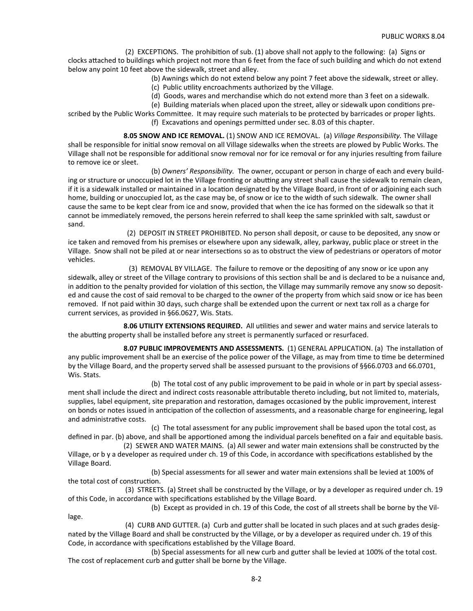(2) EXCEPTIONS. The prohibition of sub. (1) above shall not apply to the following: (a) Signs or clocks attached to buildings which project not more than 6 feet from the face of such building and which do not extend below any point 10 feet above the sidewalk, street and alley.

(b) Awnings which do not extend below any point 7 feet above the sidewalk, street or alley.

(c) Public uƟlity encroachments authorized by the Village.

(d) Goods, wares and merchandise which do not extend more than 3 feet on a sidewalk.

(e) Building materials when placed upon the street, alley or sidewalk upon conditions pre-

scribed by the Public Works Committee. It may require such materials to be protected by barricades or proper lights. (f) Excavations and openings permitted under sec. 8.03 of this chapter.

 **8.05 SNOW AND ICE REMOVAL.** (1) SNOW AND ICE REMOVAL. (a) *Village Responsibility.* The Village shall be responsible for initial snow removal on all Village sidewalks when the streets are plowed by Public Works. The Village shall not be responsible for additional snow removal nor for ice removal or for any injuries resulting from failure to remove ice or sleet.

 (b) *Owners' Responsibility.* The owner, occupant or person in charge of each and every building or structure or unoccupied lot in the Village fronting or abutting any street shall cause the sidewalk to remain clean, if it is a sidewalk installed or maintained in a location designated by the Village Board, in front of or adjoining each such home, building or unoccupied lot, as the case may be, of snow or ice to the width of such sidewalk. The owner shall cause the same to be kept clear from ice and snow, provided that when the ice has formed on the sidewalk so that it cannot be immediately removed, the persons herein referred to shall keep the same sprinkled with salt, sawdust or sand.

 (2) DEPOSIT IN STREET PROHIBITED. No person shall deposit, or cause to be deposited, any snow or ice taken and removed from his premises or elsewhere upon any sidewalk, alley, parkway, public place or street in the Village. Snow shall not be piled at or near intersections so as to obstruct the view of pedestrians or operators of motor vehicles.

(3) REMOVAL BY VILLAGE. The failure to remove or the depositing of any snow or ice upon any sidewalk, alley or street of the Village contrary to provisions of this section shall be and is declared to be a nuisance and, in addition to the penalty provided for violation of this section, the Village may summarily remove any snow so deposited and cause the cost of said removal to be charged to the owner of the property from which said snow or ice has been removed. If not paid within 30 days, such charge shall be extended upon the current or next tax roll as a charge for current services, as provided in §66.0627, Wis. Stats.

8.06 UTILITY EXTENSIONS REQUIRED. All utilities and sewer and water mains and service laterals to the abutting property shall be installed before any street is permanently surfaced or resurfaced.

**8.07 PUBLIC IMPROVEMENTS AND ASSESSMENTS.** (1) GENERAL APPLICATION. (a) The installation of any public improvement shall be an exercise of the police power of the Village, as may from time to time be determined by the Village Board, and the property served shall be assessed pursuant to the provisions of §§66.0703 and 66.0701, Wis. Stats.

 (b) The total cost of any public improvement to be paid in whole or in part by special assessment shall include the direct and indirect costs reasonable attributable thereto including, but not limited to, materials, supplies, label equipment, site preparation and restoration, damages occasioned by the public improvement, interest on bonds or notes issued in anticipation of the collection of assessments, and a reasonable charge for engineering, legal and administrative costs.

 (c) The total assessment for any public improvement shall be based upon the total cost, as defined in par. (b) above, and shall be apportioned among the individual parcels benefited on a fair and equitable basis.

 (2) SEWER AND WATER MAINS. (a) All sewer and water main extensions shall be constructed by the Village, or b y a developer as required under ch. 19 of this Code, in accordance with specifications established by the Village Board.

 (b) Special assessments for all sewer and water main extensions shall be levied at 100% of the total cost of construction.

 (3) STREETS. (a) Street shall be constructed by the Village, or by a developer as required under ch. 19 of this Code, in accordance with specifications established by the Village Board.

 (b) Except as provided in ch. 19 of this Code, the cost of all streets shall be borne by the Village.

(4) CURB AND GUTTER. (a) Curb and gutter shall be located in such places and at such grades designated by the Village Board and shall be constructed by the Village, or by a developer as required under ch. 19 of this Code, in accordance with specifications established by the Village Board.

(b) Special assessments for all new curb and gutter shall be levied at 100% of the total cost. The cost of replacement curb and gutter shall be borne by the Village.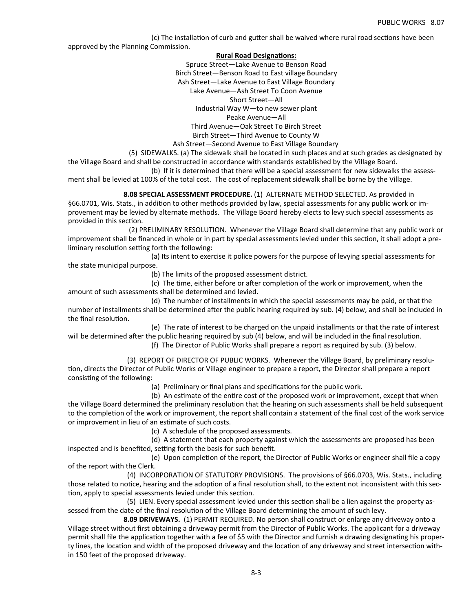(c) The installation of curb and gutter shall be waived where rural road sections have been approved by the Planning Commission.

## **Rural Road DesignaƟons:**

Spruce Street—Lake Avenue to Benson Road Birch Street—Benson Road to East village Boundary Ash Street—Lake Avenue to East Village Boundary Lake Avenue—Ash Street To Coon Avenue Short Street—All Industrial Way W—to new sewer plant Peake Avenue—All Third Avenue—Oak Street To Birch Street Birch Street—Third Avenue to County W Ash Street—Second Avenue to East Village Boundary

 (5) SIDEWALKS. (a) The sidewalk shall be located in such places and at such grades as designated by the Village Board and shall be constructed in accordance with standards established by the Village Board.

 (b) If it is determined that there will be a special assessment for new sidewalks the assessment shall be levied at 100% of the total cost. The cost of replacement sidewalk shall be borne by the Village.

 **8.08 SPECIAL ASSESSMENT PROCEDURE.** (1) ALTERNATE METHOD SELECTED. As provided in §66.0701, Wis. Stats., in addition to other methods provided by law, special assessments for any public work or improvement may be levied by alternate methods. The Village Board hereby elects to levy such special assessments as provided in this section.

 (2) PRELIMINARY RESOLUTION. Whenever the Village Board shall determine that any public work or improvement shall be financed in whole or in part by special assessments levied under this section, it shall adopt a preliminary resolution setting forth the following:

 (a) Its intent to exercise it police powers for the purpose of levying special assessments for the state municipal purpose.

(b) The limits of the proposed assessment district.

(c) The time, either before or after completion of the work or improvement, when the amount of such assessments shall be determined and levied.

 (d) The number of installments in which the special assessments may be paid, or that the number of installments shall be determined after the public hearing required by sub. (4) below, and shall be included in the final resolution.

 (e) The rate of interest to be charged on the unpaid installments or that the rate of interest will be determined after the public hearing required by sub (4) below, and will be included in the final resolution.

(f) The Director of Public Works shall prepare a report as required by sub. (3) below.

 (3) REPORT OF DIRECTOR OF PUBLIC WORKS. Whenever the Village Board, by preliminary resolution, directs the Director of Public Works or Village engineer to prepare a report, the Director shall prepare a report consisting of the following:

(a) Preliminary or final plans and specifications for the public work.

(b) An estimate of the entire cost of the proposed work or improvement, except that when the Village Board determined the preliminary resolution that the hearing on such assessments shall be held subsequent to the completion of the work or improvement, the report shall contain a statement of the final cost of the work service or improvement in lieu of an estimate of such costs.

(c) A schedule of the proposed assessments.

 (d) A statement that each property against which the assessments are proposed has been inspected and is benefited, setting forth the basis for such benefit.

(e) Upon completion of the report, the Director of Public Works or engineer shall file a copy of the report with the Clerk.

 (4) INCORPORATION OF STATUTORY PROVISIONS. The provisions of §66.0703, Wis. Stats., including those related to notice, hearing and the adoption of a final resolution shall, to the extent not inconsistent with this section, apply to special assessments levied under this section.

(5) LIEN. Every special assessment levied under this section shall be a lien against the property assessed from the date of the final resolution of the Village Board determining the amount of such levy.

 **8.09 DRIVEWAYS.** (1) PERMIT REQUIRED. No person shall construct or enlarge any driveway onto a Village street without first obtaining a driveway permit from the Director of Public Works. The applicant for a driveway permit shall file the application together with a fee of \$5 with the Director and furnish a drawing designating his property lines, the location and width of the proposed driveway and the location of any driveway and street intersection within 150 feet of the proposed driveway.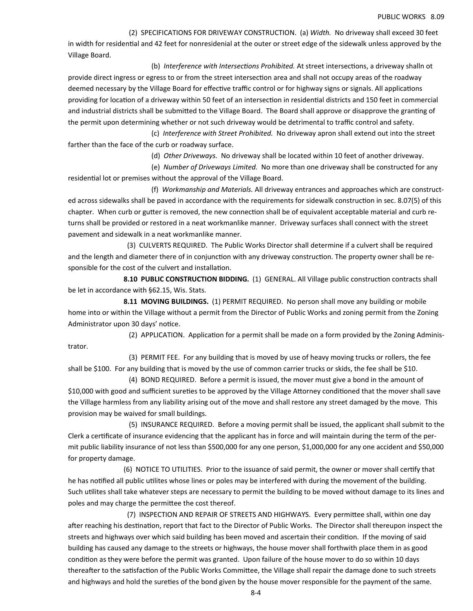(2) SPECIFICATIONS FOR DRIVEWAY CONSTRUCTION. (a) *Width.* No driveway shall exceed 30 feet in width for residential and 42 feet for nonresidenial at the outer or street edge of the sidewalk unless approved by the Village Board.

(b) *Interference with Intersections Prohibited*. At street intersections, a driveway shalln ot provide direct ingress or egress to or from the street intersection area and shall not occupy areas of the roadway deemed necessary by the Village Board for effective traffic control or for highway signs or signals. All applications providing for location of a driveway within 50 feet of an intersection in residential districts and 150 feet in commercial and industrial districts shall be submitted to the Village Board. The Board shall approve or disapprove the granting of the permit upon determining whether or not such driveway would be detrimental to traffic control and safety.

 (c)  *Interference with Street Prohibited.* No driveway apron shall extend out into the street farther than the face of the curb or roadway surface.

(d) *Other Driveways.* No driveway shall be located within 10 feet of another driveway.

 (e) *Number of Driveways Limited.* No more than one driveway shall be constructed for any residential lot or premises without the approval of the Village Board.

 (f) *Workmanship and Materials.* All driveway entrances and approaches which are constructed across sidewalks shall be paved in accordance with the requirements for sidewalk construction in sec. 8.07(5) of this chapter. When curb or gutter is removed, the new connection shall be of equivalent acceptable material and curb returns shall be provided or restored in a neat workmanlike manner. Driveway surfaces shall connect with the street pavement and sidewalk in a neat workmanlike manner.

 (3) CULVERTS REQUIRED. The Public Works Director shall determine if a culvert shall be required and the length and diameter there of in conjunction with any driveway construction. The property owner shall be responsible for the cost of the culvert and installation.

8.10 PUBLIC CONSTRUCTION BIDDING. (1) GENERAL. All Village public construction contracts shall be let in accordance with §62.15, Wis. Stats.

**8.11 MOVING BUILDINGS.** (1) PERMIT REQUIRED. No person shall move any building or mobile home into or within the Village without a permit from the Director of Public Works and zoning permit from the Zoning Administrator upon 30 days' notice.

(2) APPLICATION. Application for a permit shall be made on a form provided by the Zoning Administrator.

 (3) PERMIT FEE. For any building that is moved by use of heavy moving trucks or rollers, the fee shall be \$100. For any building that is moved by the use of common carrier trucks or skids, the fee shall be \$10.

 (4) BOND REQUIRED. Before a permit is issued, the mover must give a bond in the amount of \$10,000 with good and sufficient sureties to be approved by the Village Attorney conditioned that the mover shall save the Village harmless from any liability arising out of the move and shall restore any street damaged by the move. This provision may be waived for small buildings.

 (5) INSURANCE REQUIRED. Before a moving permit shall be issued, the applicant shall submit to the Clerk a certificate of insurance evidencing that the applicant has in force and will maintain during the term of the permit public liability insurance of not less than \$500,000 for any one person, \$1,000,000 for any one accident and \$50,000 for property damage.

(6) NOTICE TO UTILITIES. Prior to the issuance of said permit, the owner or mover shall certify that he has notified all public utilites whose lines or poles may be interfered with during the movement of the building. Such utilites shall take whatever steps are necessary to permit the building to be moved without damage to its lines and poles and may charge the permittee the cost thereof.

(7) INSPECTION AND REPAIR OF STREETS AND HIGHWAYS. Every permittee shall, within one day after reaching his destination, report that fact to the Director of Public Works. The Director shall thereupon inspect the streets and highways over which said building has been moved and ascertain their condition. If the moving of said building has caused any damage to the streets or highways, the house mover shall forthwith place them in as good condition as they were before the permit was granted. Upon failure of the house mover to do so within 10 days thereafter to the satisfaction of the Public Works Committee, the Village shall repair the damage done to such streets and highways and hold the sureties of the bond given by the house mover responsible for the payment of the same.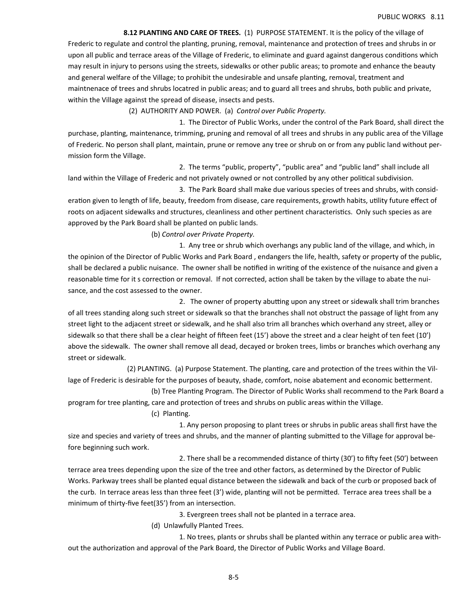**8.12 PLANTING AND CARE OF TREES.** (1) PURPOSE STATEMENT. It is the policy of the village of Frederic to regulate and control the planting, pruning, removal, maintenance and protection of trees and shrubs in or upon all public and terrace areas of the Village of Frederic, to eliminate and guard against dangerous conditions which may result in injury to persons using the streets, sidewalks or other public areas; to promote and enhance the beauty and general welfare of the Village; to prohibit the undesirable and unsafe planting, removal, treatment and maintnenace of trees and shrubs locatred in public areas; and to guard all trees and shrubs, both public and private, within the Village against the spread of disease, insects and pests.

(2) AUTHORITY AND POWER. (a) *Control over Public Property.* 

 1. The Director of Public Works, under the control of the Park Board, shall direct the purchase, planting, maintenance, trimming, pruning and removal of all trees and shrubs in any public area of the Village of Frederic. No person shall plant, maintain, prune or remove any tree or shrub on or from any public land without permission form the Village.

 2. The terms "public, property", "public area" and "public land" shall include all land within the Village of Frederic and not privately owned or not controlled by any other political subdivision.

 3. The Park Board shall make due various species of trees and shrubs, with consideration given to length of life, beauty, freedom from disease, care requirements, growth habits, utility future effect of roots on adjacent sidewalks and structures, cleanliness and other pertinent characteristics. Only such species as are approved by the Park Board shall be planted on public lands.

(b) *Control over Private Property.* 

1. Any tree or shrub which overhangs any public land of the village, and which, in the opinion of the Director of Public Works and Park Board , endangers the life, health, safety or property of the public, shall be declared a public nuisance. The owner shall be notified in writing of the existence of the nuisance and given a reasonable time for it s correction or removal. If not corrected, action shall be taken by the village to abate the nuisance, and the cost assessed to the owner.

2. The owner of property abutting upon any street or sidewalk shall trim branches of all trees standing along such street or sidewalk so that the branches shall not obstruct the passage of light from any street light to the adjacent street or sidewalk, and he shall also trim all branches which overhand any street, alley or sidewalk so that there shall be a clear height of fifteen feet (15') above the street and a clear height of ten feet (10') above the sidewalk. The owner shall remove all dead, decayed or broken trees, limbs or branches which overhang any street or sidewalk.

(2) PLANTING. (a) Purpose Statement. The planting, care and protection of the trees within the Village of Frederic is desirable for the purposes of beauty, shade, comfort, noise abatement and economic betterment.

(b) Tree Planting Program. The Director of Public Works shall recommend to the Park Board a program for tree planting, care and protection of trees and shrubs on public areas within the Village.

(c) Planting.

 1. Any person proposing to plant trees or shrubs in public areas shall first have the size and species and variety of trees and shrubs, and the manner of planting submitted to the Village for approval before beginning such work.

2. There shall be a recommended distance of thirty (30') to fifty feet (50') between terrace area trees depending upon the size of the tree and other factors, as determined by the Director of Public Works. Parkway trees shall be planted equal distance between the sidewalk and back of the curb or proposed back of the curb. In terrace areas less than three feet (3') wide, planting will not be permitted. Terrace area trees shall be a minimum of thirty-five feet(35') from an intersection.

3. Evergreen trees shall not be planted in a terrace area.

(d) Unlawfully Planted Trees.

 1. No trees, plants or shrubs shall be planted within any terrace or public area without the authorization and approval of the Park Board, the Director of Public Works and Village Board.